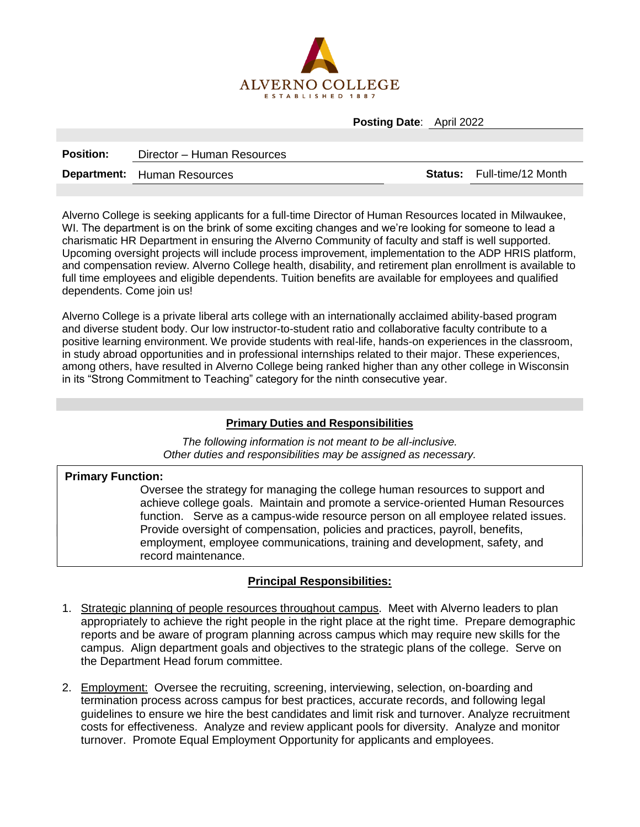

**Posting Date**: April 2022

| <b>Position:</b> | Director – Human Resources         |  |                                   |
|------------------|------------------------------------|--|-----------------------------------|
|                  | <b>Department:</b> Human Resources |  | <b>Status:</b> Full-time/12 Month |

Alverno College is seeking applicants for a full-time Director of Human Resources located in Milwaukee, WI. The department is on the brink of some exciting changes and we're looking for someone to lead a charismatic HR Department in ensuring the Alverno Community of faculty and staff is well supported. Upcoming oversight projects will include process improvement, implementation to the ADP HRIS platform, and compensation review. Alverno College health, disability, and retirement plan enrollment is available to full time employees and eligible dependents. Tuition benefits are available for employees and qualified dependents. Come join us!

Alverno College is a private liberal arts college with an internationally acclaimed ability-based program and diverse student body. Our low instructor-to-student ratio and collaborative faculty contribute to a positive learning environment. We provide students with real-life, hands-on experiences in the classroom, in study abroad opportunities and in professional internships related to their major. These experiences, among others, have resulted in Alverno College being ranked higher than any other college in Wisconsin in its "Strong Commitment to Teaching" category for the ninth consecutive year.

### **Primary Duties and Responsibilities**

*The following information is not meant to be all-inclusive. Other duties and responsibilities may be assigned as necessary.*

### **Primary Function:**

Oversee the strategy for managing the college human resources to support and achieve college goals. Maintain and promote a service-oriented Human Resources function. Serve as a campus-wide resource person on all employee related issues. Provide oversight of compensation, policies and practices, payroll, benefits, employment, employee communications, training and development, safety, and record maintenance.

# **Principal Responsibilities:**

- 1. Strategic planning of people resources throughout campus. Meet with Alverno leaders to plan appropriately to achieve the right people in the right place at the right time. Prepare demographic reports and be aware of program planning across campus which may require new skills for the campus. Align department goals and objectives to the strategic plans of the college. Serve on the Department Head forum committee.
- 2. Employment: Oversee the recruiting, screening, interviewing, selection, on-boarding and termination process across campus for best practices, accurate records, and following legal guidelines to ensure we hire the best candidates and limit risk and turnover. Analyze recruitment costs for effectiveness. Analyze and review applicant pools for diversity. Analyze and monitor turnover. Promote Equal Employment Opportunity for applicants and employees.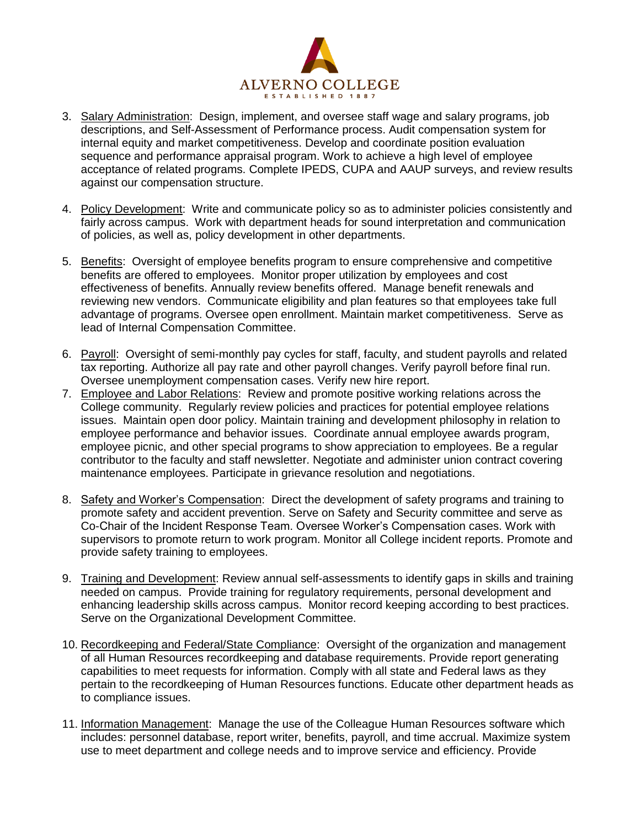

- 3. Salary Administration: Design, implement, and oversee staff wage and salary programs, job descriptions, and Self-Assessment of Performance process. Audit compensation system for internal equity and market competitiveness. Develop and coordinate position evaluation sequence and performance appraisal program. Work to achieve a high level of employee acceptance of related programs. Complete IPEDS, CUPA and AAUP surveys, and review results against our compensation structure.
- 4. Policy Development: Write and communicate policy so as to administer policies consistently and fairly across campus. Work with department heads for sound interpretation and communication of policies, as well as, policy development in other departments.
- 5. Benefits: Oversight of employee benefits program to ensure comprehensive and competitive benefits are offered to employees. Monitor proper utilization by employees and cost effectiveness of benefits. Annually review benefits offered. Manage benefit renewals and reviewing new vendors. Communicate eligibility and plan features so that employees take full advantage of programs. Oversee open enrollment. Maintain market competitiveness. Serve as lead of Internal Compensation Committee.
- 6. Payroll: Oversight of semi-monthly pay cycles for staff, faculty, and student payrolls and related tax reporting. Authorize all pay rate and other payroll changes. Verify payroll before final run. Oversee unemployment compensation cases. Verify new hire report.
- 7. Employee and Labor Relations: Review and promote positive working relations across the College community. Regularly review policies and practices for potential employee relations issues. Maintain open door policy. Maintain training and development philosophy in relation to employee performance and behavior issues. Coordinate annual employee awards program, employee picnic, and other special programs to show appreciation to employees. Be a regular contributor to the faculty and staff newsletter. Negotiate and administer union contract covering maintenance employees. Participate in grievance resolution and negotiations.
- 8. Safety and Worker's Compensation: Direct the development of safety programs and training to promote safety and accident prevention. Serve on Safety and Security committee and serve as Co-Chair of the Incident Response Team. Oversee Worker's Compensation cases. Work with supervisors to promote return to work program. Monitor all College incident reports. Promote and provide safety training to employees.
- 9. Training and Development: Review annual self-assessments to identify gaps in skills and training needed on campus. Provide training for regulatory requirements, personal development and enhancing leadership skills across campus. Monitor record keeping according to best practices. Serve on the Organizational Development Committee.
- 10. Recordkeeping and Federal/State Compliance: Oversight of the organization and management of all Human Resources recordkeeping and database requirements. Provide report generating capabilities to meet requests for information. Comply with all state and Federal laws as they pertain to the recordkeeping of Human Resources functions. Educate other department heads as to compliance issues.
- 11. Information Management: Manage the use of the Colleague Human Resources software which includes: personnel database, report writer, benefits, payroll, and time accrual. Maximize system use to meet department and college needs and to improve service and efficiency. Provide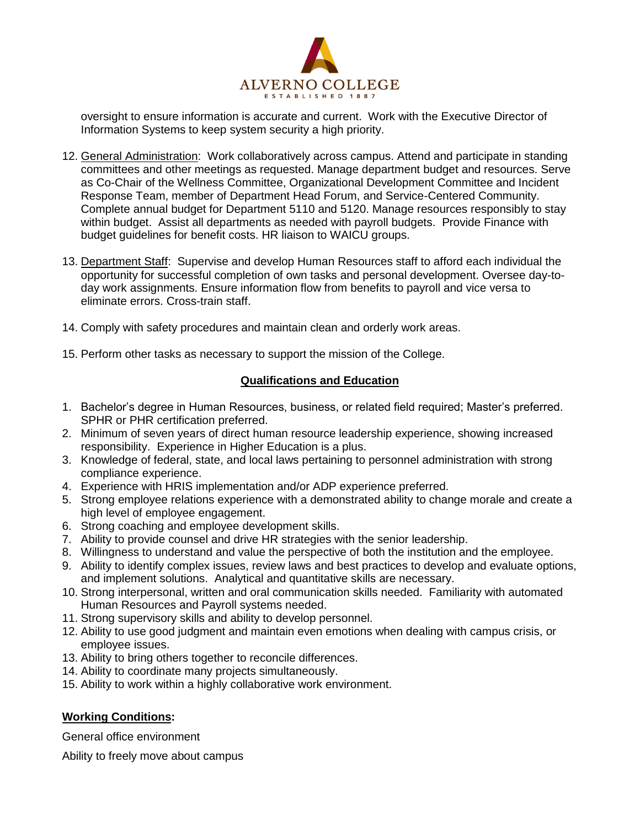

oversight to ensure information is accurate and current. Work with the Executive Director of Information Systems to keep system security a high priority.

- 12. General Administration: Work collaboratively across campus. Attend and participate in standing committees and other meetings as requested. Manage department budget and resources. Serve as Co-Chair of the Wellness Committee, Organizational Development Committee and Incident Response Team, member of Department Head Forum, and Service-Centered Community. Complete annual budget for Department 5110 and 5120. Manage resources responsibly to stay within budget. Assist all departments as needed with payroll budgets. Provide Finance with budget guidelines for benefit costs. HR liaison to WAICU groups.
- 13. Department Staff: Supervise and develop Human Resources staff to afford each individual the opportunity for successful completion of own tasks and personal development. Oversee day-today work assignments. Ensure information flow from benefits to payroll and vice versa to eliminate errors. Cross-train staff.
- 14. Comply with safety procedures and maintain clean and orderly work areas.
- 15. Perform other tasks as necessary to support the mission of the College.

## **Qualifications and Education**

- 1. Bachelor's degree in Human Resources, business, or related field required; Master's preferred. SPHR or PHR certification preferred.
- 2. Minimum of seven years of direct human resource leadership experience, showing increased responsibility. Experience in Higher Education is a plus.
- 3. Knowledge of federal, state, and local laws pertaining to personnel administration with strong compliance experience.
- 4. Experience with HRIS implementation and/or ADP experience preferred.
- 5. Strong employee relations experience with a demonstrated ability to change morale and create a high level of employee engagement.
- 6. Strong coaching and employee development skills.
- 7. Ability to provide counsel and drive HR strategies with the senior leadership.
- 8. Willingness to understand and value the perspective of both the institution and the employee.
- 9. Ability to identify complex issues, review laws and best practices to develop and evaluate options, and implement solutions. Analytical and quantitative skills are necessary.
- 10. Strong interpersonal, written and oral communication skills needed. Familiarity with automated Human Resources and Payroll systems needed.
- 11. Strong supervisory skills and ability to develop personnel.
- 12. Ability to use good judgment and maintain even emotions when dealing with campus crisis, or employee issues.
- 13. Ability to bring others together to reconcile differences.
- 14. Ability to coordinate many projects simultaneously.
- 15. Ability to work within a highly collaborative work environment.

# **Working Conditions:**

General office environment

Ability to freely move about campus